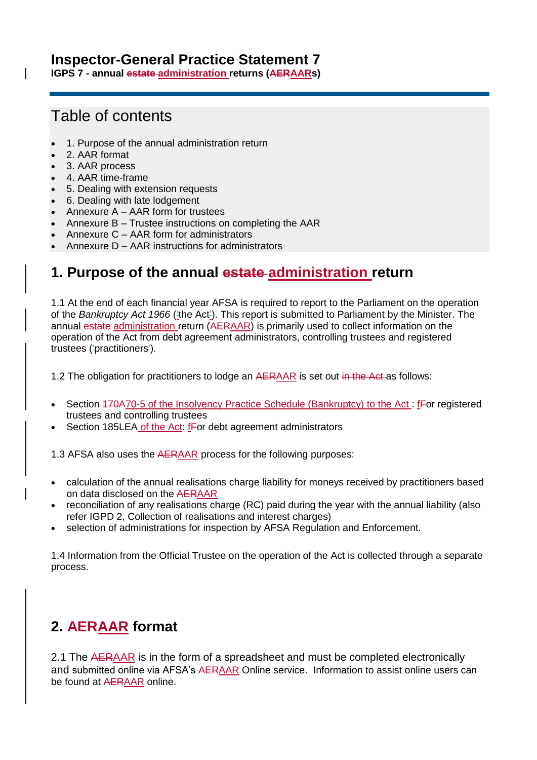# **Inspector-General Practice Statement 7**

**IGPS 7 - annual estate administration returns (AERAARs)** 

# Table of contents

- [1. Purpose of the annual administration return](#page-0-0)
- [2. AAR](#page-0-1) format
- 3. AAR [process](#page-1-0)
- 4. AAR [time-frame](#page-2-0)
- [5. Dealing with extension requests](#page-2-1)
- [6. Dealing with late lodgement](#page-2-2)
- Annexure A AAR [form for trustees](#page-3-0)
- Annexure B Trustee instructions on completing the AAR
- Annexure C AAR form for administrators
- Annexure D AAR instructions for administrators

# <span id="page-0-0"></span>**1. Purpose of the annual estate administration return**

1.1 At the end of each financial year AFSA is required to report to the Parliament on the operation of the *[Bankruptcy Act 1966](http://www.austlii.edu.au/au/legis/cth/consol_act/ba1966142/)* ('the Act'). This report is submitted to Parliament by the Minister. The annual estate administration return (AERAAR) is primarily used to collect information on the operation of the Act from debt agreement administrators, controlling trustees and registered trustees ('practitioners').

1.2 The obligation for practitioners to lodge an AERAAR is set out in the Act as follows:

- Section 170A70-5 of the Insolvency Practice Schedule (Bankruptcy) to the Act : fFor registered trustees and controlling trustees
- Section 185LEA of the Act: fFor debt agreement administrators

1.3 AFSA also uses the AERAAR process for the following purposes:

- calculation of the annual realisations charge liability for moneys received by practitioners based on data disclosed on the AERAAR
- reconciliation of any realisations charge (RC) paid during the year with the annual liability (also refer [IGPD 2, Collection of realisations and interest charges\)](https://www.afsa.gov.au/about-us/practices/inspector-general-practice-directions/inspector-general-practice-direction-2)
- selection of administrations for inspection by AFSA Regulation and Enforcement.

1.4 Information from the Official Trustee on the operation of the Act is collected through a separate process.

# <span id="page-0-1"></span>**2. AERAAR format**

2.1 The AERAAR is in the form of a spreadsheet and must be completed electronically and submitted online via AFSA's AERAAR Online service. Information to assist online users can be found at [AERAAR](https://www.afsa.gov.au/online-services/practitioner-aer-online) online.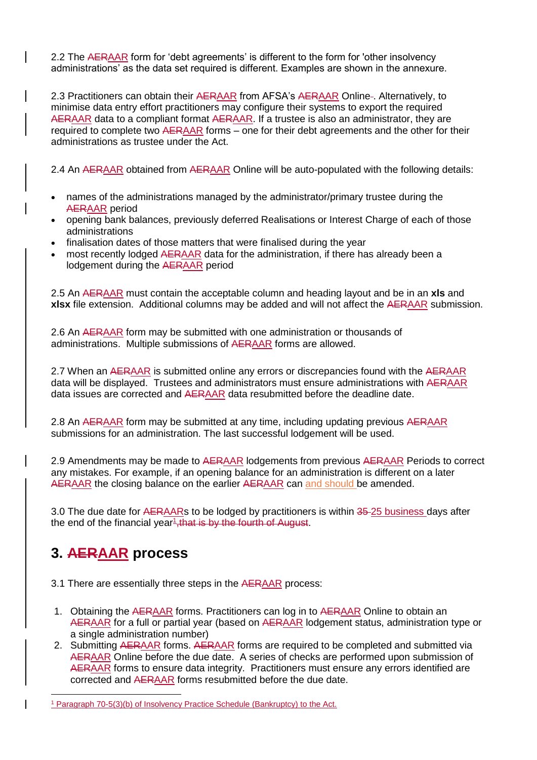2.2 The AERAAR form for 'debt agreements' is different to the form for 'other insolvency administrations' as the data set required is different. Examples are shown in the annexure.

2.3 Practitioners can obtain their AERAAR from AFSA's AERAAR Online-. Alternatively, to minimise data entry effort practitioners may configure their systems to export the required AERAAR data to a compliant format AERAAR. If a trustee is also an administrator, they are required to complete two AERAAR forms – one for their debt agreements and the other for their administrations as trustee under the Act.

2.4 An AERAAR obtained from AERAAR Online will be auto-populated with the following details:

- names of the administrations managed by the administrator/primary trustee during the AERAAR period
- opening bank balances, previously deferred Realisations or Interest Charge of each of those administrations
- finalisation dates of those matters that were finalised during the year
- most recently lodged AERAAR data for the administration, if there has already been a lodgement during the AERAAR period

2.5 An AERAAR must contain the acceptable column and heading layout and be in an **xls** and **xlsx** file extension. Additional columns may be added and will not affect the AERAAR submission.

2.6 An AERAAR form may be submitted with one administration or thousands of administrations. Multiple submissions of AERAAR forms are allowed.

2.7 When an AERAAR is submitted online any errors or discrepancies found with the AERAAR data will be displayed. Trustees and administrators must ensure administrations with AERAAR data issues are corrected and AERAAR data resubmitted before the deadline date.

2.8 An AERAAR form may be submitted at any time, including updating previous AERAAR submissions for an administration. The last successful lodgement will be used.

2.9 Amendments may be made to AERAAR lodgements from previous AERAAR Periods to correct any mistakes. For example, if an opening balance for an administration is different on a later AERAAR the closing balance on the earlier AERAAR can and should be amended.

3.0 The due date for AERAARs to be lodged by practitioners is within 35-25 business days after the end of the financial year<sup>1</sup>, that is by the fourth of August.

# <span id="page-1-0"></span>**3. AERAAR process**

1

3.1 There are essentially three steps in the AERAAR process:

- 1. Obtaining the AERAAR forms. Practitioners can log in to AERAAR Online to obtain an AERAAR for a full or partial year (based on AERAAR lodgement status, administration type or a single administration number)
- 2. Submitting AERAAR forms. AERAAR forms are required to be completed and submitted via AERAAR Online before the due date. A series of checks are performed upon submission of AERAAR forms to ensure data integrity. Practitioners must ensure any errors identified are corrected and AERAAR forms resubmitted before the due date.

<sup>1</sup> Paragraph 70-5(3)(b) of Insolvency Practice Schedule (Bankruptcy) to the Act.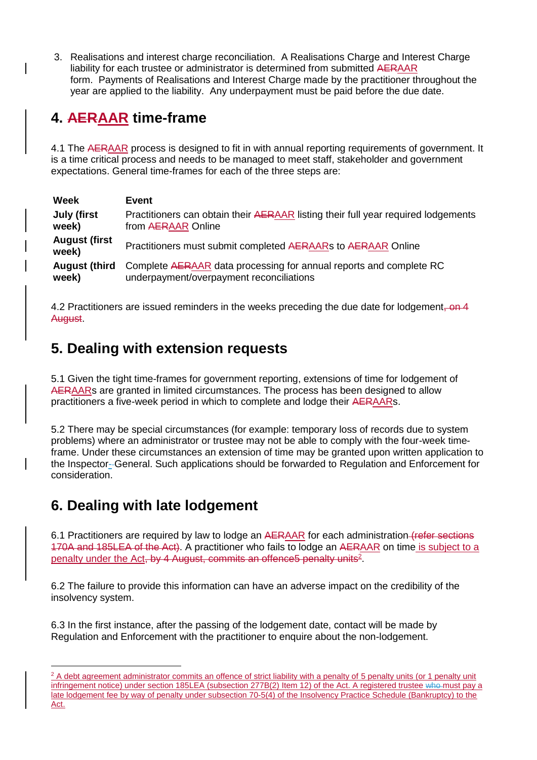3. Realisations and interest charge reconciliation. A Realisations Charge and Interest Charge liability for each trustee or administrator is determined from submitted AERAAR form. Payments of Realisations and Interest Charge made by the practitioner throughout the year are applied to the liability. Any underpayment must be paid before the due date.

# <span id="page-2-0"></span>**4. AERAAR time-frame**

4.1 The AERAAR process is designed to fit in with annual reporting requirements of government. It is a time critical process and needs to be managed to meet staff, stakeholder and government expectations. General time-frames for each of the three steps are:

| Week                          | Event                                                                             |
|-------------------------------|-----------------------------------------------------------------------------------|
| <b>July (first</b>            | Practitioners can obtain their AERAAR listing their full year required lodgements |
| week)                         | from AERAAR Online                                                                |
| <b>August (first</b><br>week) | Practitioners must submit completed AERAARs to AERAAR Online                      |
| <b>August (third</b>          | Complete AERAAR data processing for annual reports and complete RC                |
| week)                         | underpayment/overpayment reconciliations                                          |

4.2 Practitioners are issued reminders in the weeks preceding the due date for lodgement, on 4 August.

# <span id="page-2-1"></span>**5. Dealing with extension requests**

5.1 Given the tight time-frames for government reporting, extensions of time for lodgement of AERAARs are granted in limited circumstances. The process has been designed to allow practitioners a five-week period in which to complete and lodge their AERAARs.

5.2 There may be special circumstances (for example: temporary loss of records due to system problems) where an administrator or trustee may not be able to comply with the four-week timeframe. Under these circumstances an extension of time may be granted upon written application to the Inspector- General. Such applications should be forwarded to [Regulation and Enforcement](mailto:regulation@afsa.gov.au) for consideration.

# <span id="page-2-2"></span>**6. Dealing with late lodgement**

1

6.1 Practitioners are required by law to lodge an AERAAR for each administration (refer sections 170A and 185LEA of the Act). A practitioner who fails to lodge an AERAAR on time is subject to a penalty under the Act, by 4 August, commits an offence5 penalty units<sup>2</sup>.

6.2 The failure to provide this information can have an adverse impact on the credibility of the insolvency system.

6.3 In the first instance, after the passing of the lodgement date, contact will be made by Regulation and Enforcement with the practitioner to enquire about the non-lodgement.

<sup>&</sup>lt;sup>2</sup> A debt agreement administrator commits an offence of strict liability with a penalty of 5 penalty units (or 1 penalty unit infringement notice) under section 185LEA (subsection 277B(2) Item 12) of the Act. A registered trustee who must pay a late lodgement fee by way of penalty under subsection 70-5(4) of the Insolvency Practice Schedule (Bankruptcy) to the Act.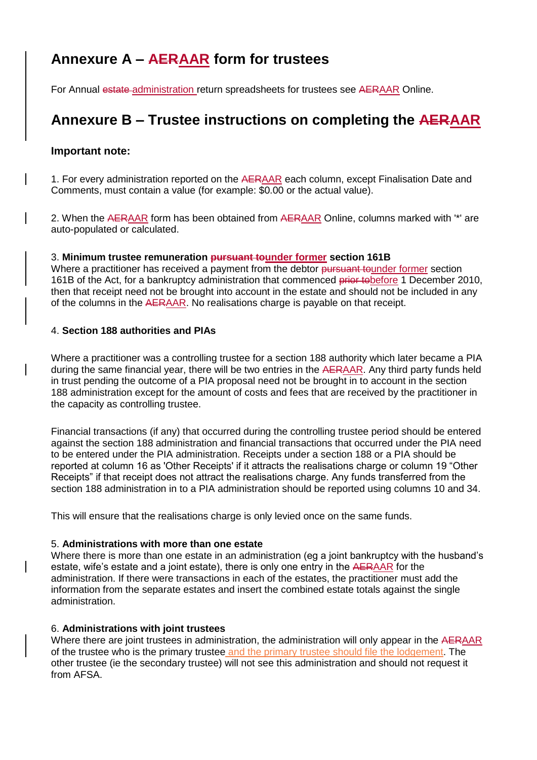# <span id="page-3-0"></span>**Annexure A – AERAAR form for trustees**

For Annual estate administration return spreadsheets for trustees see AERAAR Online.

# **Annexure B – Trustee instructions on completing the AERAAR**

# **Important note:**

1. For every administration reported on the AERAAR each column, except Finalisation Date and Comments, must contain a value (for example: \$0.00 or the actual value).

2. When the AERAAR form has been obtained from AERAAR Online, columns marked with '\*' are auto-populated or calculated.

# 3. **Minimum trustee remuneration pursuant tounder former section 161B**

Where a practitioner has received a payment from the debtor pursuant tounder former section 161B of the Act, for a bankruptcy administration that commenced prior to before 1 December 2010, then that receipt need not be brought into account in the estate and should not be included in any of the columns in the AERAAR. No realisations charge is payable on that receipt.

# 4. **Section 188 authorities and PIAs**

Where a practitioner was a controlling trustee for a section 188 authority which later became a PIA during the same financial year, there will be two entries in the AERAAR. Any third party funds held in trust pending the outcome of a PIA proposal need not be brought in to account in the section 188 administration except for the amount of costs and fees that are received by the practitioner in the capacity as controlling trustee.

Financial transactions (if any) that occurred during the controlling trustee period should be entered against the section 188 administration and financial transactions that occurred under the PIA need to be entered under the PIA administration. Receipts under a section 188 or a PIA should be reported at column 16 as 'Other Receipts' if it attracts the realisations charge or column 19 "Other Receipts" if that receipt does not attract the realisations charge. Any funds transferred from the section 188 administration in to a PIA administration should be reported using columns 10 and 34.

This will ensure that the realisations charge is only levied once on the same funds.

# 5. **Administrations with more than one estate**

Where there is more than one estate in an administration (eg a joint bankruptcy with the husband's estate, wife's estate and a joint estate), there is only one entry in the AERAAR for the administration. If there were transactions in each of the estates, the practitioner must add the information from the separate estates and insert the combined estate totals against the single administration.

# 6. **Administrations with joint trustees**

Where there are joint trustees in administration, the administration will only appear in the AERAAR of the trustee who is the primary trustee and the primary trustee should file the lodgement. The other trustee (ie the secondary trustee) will not see this administration and should not request it from AFSA.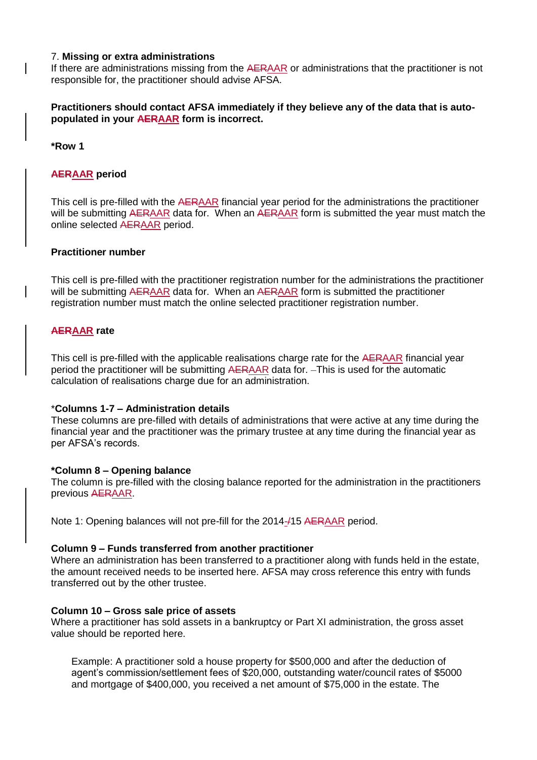#### 7. **Missing or extra administrations**

If there are administrations missing from the AERAAR or administrations that the practitioner is not responsible for, the practitioner should advise AFSA.

# **Practitioners should contact AFSA immediately if they believe any of the data that is autopopulated in your AERAAR form is incorrect.**

**\*Row 1**

# **AERAAR period**

This cell is pre-filled with the AERAAR financial year period for the administrations the practitioner will be submitting AERAAR data for. When an AERAAR form is submitted the year must match the online selected AERAAR period.

# **Practitioner number**

This cell is pre-filled with the practitioner registration number for the administrations the practitioner will be submitting AERAAR data for. When an AERAAR form is submitted the practitioner registration number must match the online selected practitioner registration number.

# **AERAAR rate**

This cell is pre-filled with the applicable realisations charge rate for the AERAAR financial year period the practitioner will be submitting AERAAR data for. - This is used for the automatic calculation of realisations charge due for an administration.

# \***Columns 1-7 – Administration details**

These columns are pre-filled with details of administrations that were active at any time during the financial year and the practitioner was the primary trustee at any time during the financial year as per AFSA's records.

# **\*Column 8 – Opening balance**

The column is pre-filled with the closing balance reported for the administration in the practitioners previous AERAAR.

Note 1: Opening balances will not pre-fill for the 2014-/15 AERAAR period.

# **Column 9 – Funds transferred from another practitioner**

Where an administration has been transferred to a practitioner along with funds held in the estate, the amount received needs to be inserted here. AFSA may cross reference this entry with funds transferred out by the other trustee.

# **Column 10 – Gross sale price of assets**

Where a practitioner has sold assets in a bankruptcy or Part XI administration, the gross asset value should be reported here.

Example: A practitioner sold a house property for \$500,000 and after the deduction of agent's commission/settlement fees of \$20,000, outstanding water/council rates of \$5000 and mortgage of \$400,000, you received a net amount of \$75,000 in the estate. The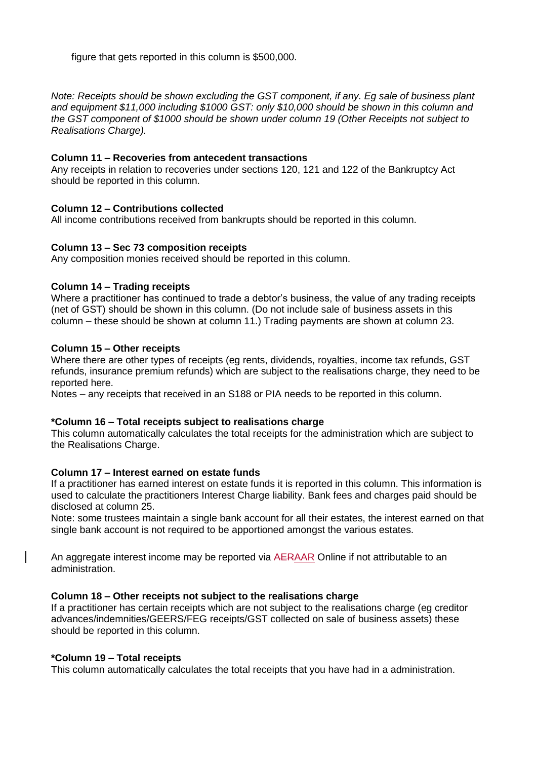figure that gets reported in this column is \$500,000.

*Note: Receipts should be shown excluding the GST component, if any. Eg sale of business plant and equipment \$11,000 including \$1000 GST: only \$10,000 should be shown in this column and the GST component of \$1000 should be shown under column 19 (Other Receipts not subject to Realisations Charge).*

#### **Column 11 – Recoveries from antecedent transactions**

Any receipts in relation to recoveries under sections 120, 121 and 122 of the Bankruptcy Act should be reported in this column.

#### **Column 12 – Contributions collected**

All income contributions received from bankrupts should be reported in this column.

#### **Column 13 – Sec 73 composition receipts**

Any composition monies received should be reported in this column.

#### **Column 14 – Trading receipts**

Where a practitioner has continued to trade a debtor's business, the value of any trading receipts (net of GST) should be shown in this column. (Do not include sale of business assets in this column – these should be shown at column 11.) Trading payments are shown at column 23.

#### **Column 15 – Other receipts**

Where there are other types of receipts (eg rents, dividends, royalties, income tax refunds, GST refunds, insurance premium refunds) which are subject to the realisations charge, they need to be reported here.

Notes – any receipts that received in an S188 or PIA needs to be reported in this column.

#### **\*Column 16 – Total receipts subject to realisations charge**

This column automatically calculates the total receipts for the administration which are subject to the Realisations Charge.

#### **Column 17 – Interest earned on estate funds**

If a practitioner has earned interest on estate funds it is reported in this column. This information is used to calculate the practitioners Interest Charge liability. Bank fees and charges paid should be disclosed at column 25.

Note: some trustees maintain a single bank account for all their estates, the interest earned on that single bank account is not required to be apportioned amongst the various estates.

An aggregate interest income may be reported via AERAAR Online if not attributable to an administration.

# **Column 18 – Other receipts not subject to the realisations charge**

If a practitioner has certain receipts which are not subject to the realisations charge (eg creditor advances/indemnities/GEERS/FEG receipts/GST collected on sale of business assets) these should be reported in this column.

#### **\*Column 19 – Total receipts**

 $\overline{\phantom{a}}$ 

This column automatically calculates the total receipts that you have had in a administration.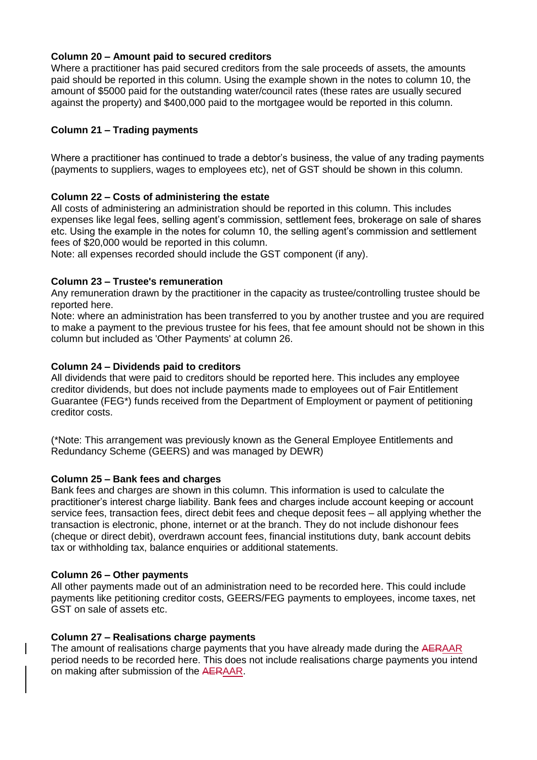# **Column 20 – Amount paid to secured creditors**

Where a practitioner has paid secured creditors from the sale proceeds of assets, the amounts paid should be reported in this column. Using the example shown in the notes to column 10, the amount of \$5000 paid for the outstanding water/council rates (these rates are usually secured against the property) and \$400,000 paid to the mortgagee would be reported in this column.

# **Column 21 – Trading payments**

Where a practitioner has continued to trade a debtor's business, the value of any trading payments (payments to suppliers, wages to employees etc), net of GST should be shown in this column.

# **Column 22 – Costs of administering the estate**

All costs of administering an administration should be reported in this column. This includes expenses like legal fees, selling agent's commission, settlement fees, brokerage on sale of shares etc. Using the example in the notes for column 10, the selling agent's commission and settlement fees of \$20,000 would be reported in this column.

Note: all expenses recorded should include the GST component (if any).

# **Column 23 – Trustee's remuneration**

Any remuneration drawn by the practitioner in the capacity as trustee/controlling trustee should be reported here.

Note: where an administration has been transferred to you by another trustee and you are required to make a payment to the previous trustee for his fees, that fee amount should not be shown in this column but included as 'Other Payments' at column 26.

# **Column 24 – Dividends paid to creditors**

All dividends that were paid to creditors should be reported here. This includes any employee creditor dividends, but does not include payments made to employees out of Fair Entitlement Guarantee (FEG\*) funds received from the Department of Employment or payment of petitioning creditor costs.

(\*Note: This arrangement was previously known as the General Employee Entitlements and Redundancy Scheme (GEERS) and was managed by DEWR)

# **Column 25 – Bank fees and charges**

Bank fees and charges are shown in this column. This information is used to calculate the practitioner's interest charge liability. Bank fees and charges include account keeping or account service fees, transaction fees, direct debit fees and cheque deposit fees – all applying whether the transaction is electronic, phone, internet or at the branch. They do not include dishonour fees (cheque or direct debit), overdrawn account fees, financial institutions duty, bank account debits tax or withholding tax, balance enquiries or additional statements.

# **Column 26 – Other payments**

All other payments made out of an administration need to be recorded here. This could include payments like petitioning creditor costs, GEERS/FEG payments to employees, income taxes, net GST on sale of assets etc.

# **Column 27 – Realisations charge payments**

The amount of realisations charge payments that you have already made during the AERAAR period needs to be recorded here. This does not include realisations charge payments you intend on making after submission of the AERAAR.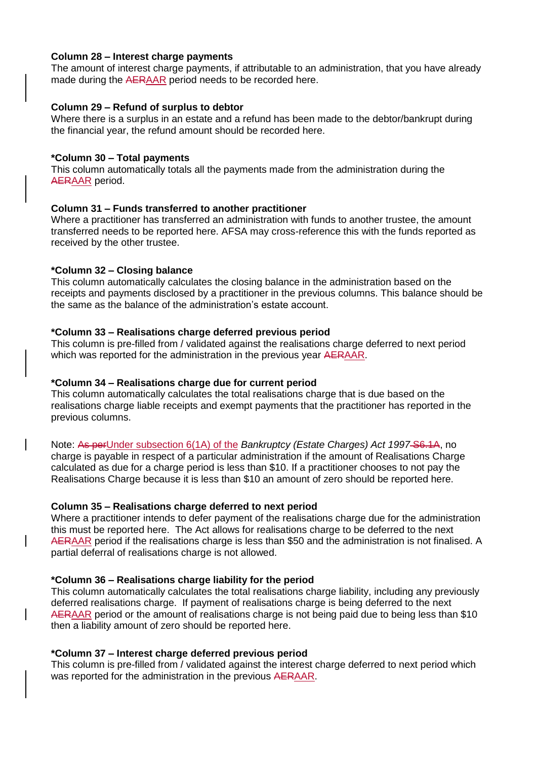#### **Column 28 – Interest charge payments**

The amount of interest charge payments, if attributable to an administration, that you have already made during the AERAAR period needs to be recorded here.

# **Column 29 – Refund of surplus to debtor**

Where there is a surplus in an estate and a refund has been made to the debtor/bankrupt during the financial year, the refund amount should be recorded here.

# **\*Column 30 – Total payments**

This column automatically totals all the payments made from the administration during the AERAAR period.

# **Column 31 – Funds transferred to another practitioner**

Where a practitioner has transferred an administration with funds to another trustee, the amount transferred needs to be reported here. AFSA may cross-reference this with the funds reported as received by the other trustee.

# **\*Column 32 – Closing balance**

This column automatically calculates the closing balance in the administration based on the receipts and payments disclosed by a practitioner in the previous columns. This balance should be the same as the balance of the administration's estate account.

# **\*Column 33 – Realisations charge deferred previous period**

This column is pre-filled from / validated against the realisations charge deferred to next period which was reported for the administration in the previous year AERAAR.

# **\*Column 34 – Realisations charge due for current period**

This column automatically calculates the total realisations charge that is due based on the realisations charge liable receipts and exempt payments that the practitioner has reported in the previous columns.

Note: As perUnder subsection 6(1A) of the *Bankruptcy (Estate Charges) Act 1997-S6.1A*, no charge is payable in respect of a particular administration if the amount of Realisations Charge calculated as due for a charge period is less than \$10. If a practitioner chooses to not pay the Realisations Charge because it is less than \$10 an amount of zero should be reported here.

# **Column 35 – Realisations charge deferred to next period**

Where a practitioner intends to defer payment of the realisations charge due for the administration this must be reported here. The Act allows for realisations charge to be deferred to the next AERAAR period if the realisations charge is less than \$50 and the administration is not finalised. A partial deferral of realisations charge is not allowed.

# **\*Column 36 – Realisations charge liability for the period**

This column automatically calculates the total realisations charge liability, including any previously deferred realisations charge. If payment of realisations charge is being deferred to the next AERAAR period or the amount of realisations charge is not being paid due to being less than \$10 then a liability amount of zero should be reported here.

# **\*Column 37 – Interest charge deferred previous period**

This column is pre-filled from / validated against the interest charge deferred to next period which was reported for the administration in the previous AERAAR.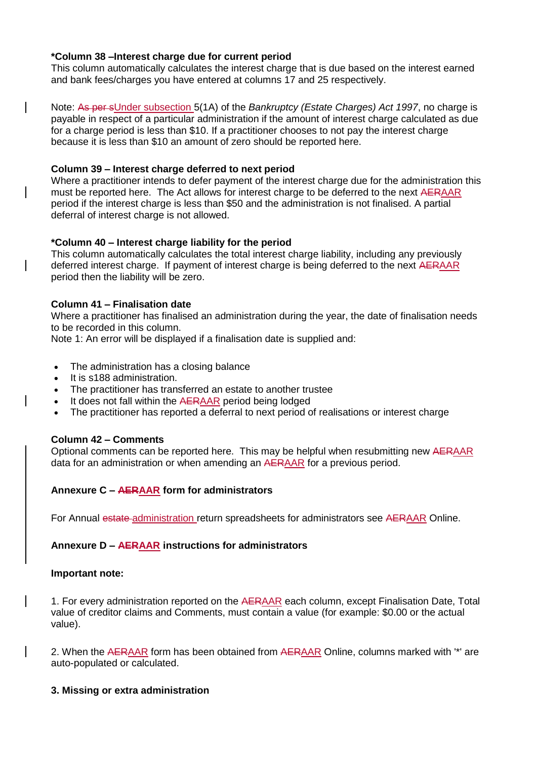# **\*Column 38 –Interest charge due for current period**

This column automatically calculates the interest charge that is due based on the interest earned and bank fees/charges you have entered at columns 17 and 25 respectively.

Note: As per sUnder subsection 5(1A) of the *Bankruptcy (Estate Charges) Act 1997*, no charge is payable in respect of a particular administration if the amount of interest charge calculated as due for a charge period is less than \$10. If a practitioner chooses to not pay the interest charge because it is less than \$10 an amount of zero should be reported here.

# **Column 39 – Interest charge deferred to next period**

Where a practitioner intends to defer payment of the interest charge due for the administration this must be reported here. The Act allows for interest charge to be deferred to the next AERAAR period if the interest charge is less than \$50 and the administration is not finalised. A partial deferral of interest charge is not allowed.

# **\*Column 40 – Interest charge liability for the period**

This column automatically calculates the total interest charge liability, including any previously deferred interest charge. If payment of interest charge is being deferred to the next AERAAR period then the liability will be zero.

# **Column 41 – Finalisation date**

Where a practitioner has finalised an administration during the year, the date of finalisation needs to be recorded in this column.

Note 1: An error will be displayed if a finalisation date is supplied and:

- The administration has a closing balance
- It is s188 administration.
- The practitioner has transferred an estate to another trustee
- It does not fall within the AERAAR period being lodged
- The practitioner has reported a deferral to next period of realisations or interest charge

# **Column 42 – Comments**

Optional comments can be reported here. This may be helpful when resubmitting new AERAAR data for an administration or when amending an AERAAR for a previous period.

# **Annexure C – AERAAR form for administrators**

For Annual estate administration return spreadsheets for administrators see AERAAR Online.

# **Annexure D – AERAAR instructions for administrators**

# **Important note:**

1. For every administration reported on the AERAAR each column, except Finalisation Date, Total value of creditor claims and Comments, must contain a value (for example: \$0.00 or the actual value).

2. When the AERAAR form has been obtained from AERAAR Online, columns marked with "\*" are auto-populated or calculated.

# **3. Missing or extra administration**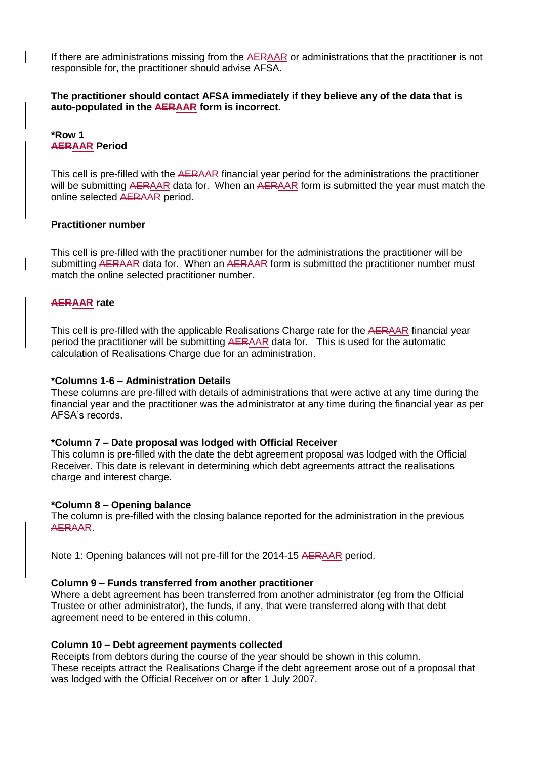If there are administrations missing from the AERAAR or administrations that the practitioner is not responsible for, the practitioner should advise AFSA.

**The practitioner should contact AFSA immediately if they believe any of the data that is auto-populated in the AERAAR form is incorrect.**

**\*Row 1 AERAAR Period** 

This cell is pre-filled with the AERAAR financial year period for the administrations the practitioner will be submitting AERAAR data for. When an AERAAR form is submitted the year must match the online selected AERAAR period.

# **Practitioner number**

This cell is pre-filled with the practitioner number for the administrations the practitioner will be submitting AERAAR data for. When an AERAAR form is submitted the practitioner number must match the online selected practitioner number.

# **AERAAR rate**

This cell is pre-filled with the applicable Realisations Charge rate for the AERAAR financial year period the practitioner will be submitting AERAAR data for. This is used for the automatic calculation of Realisations Charge due for an administration.

#### \***Columns 1-6 – Administration Details**

These columns are pre-filled with details of administrations that were active at any time during the financial year and the practitioner was the administrator at any time during the financial year as per AFSA's records.

# **\*Column 7 – Date proposal was lodged with Official Receiver**

This column is pre-filled with the date the debt agreement proposal was lodged with the Official Receiver. This date is relevant in determining which debt agreements attract the realisations charge and interest charge.

#### **\*Column 8 – Opening balance**

The column is pre-filled with the closing balance reported for the administration in the previous AERAAR.

Note 1: Opening balances will not pre-fill for the 2014-15 AERAAR period.

# **Column 9 – Funds transferred from another practitioner**

Where a debt agreement has been transferred from another administrator (eg from the Official Trustee or other administrator), the funds, if any, that were transferred along with that debt agreement need to be entered in this column.

#### **Column 10 – Debt agreement payments collected**

Receipts from debtors during the course of the year should be shown in this column. These receipts attract the Realisations Charge if the debt agreement arose out of a proposal that was lodged with the Official Receiver on or after 1 July 2007.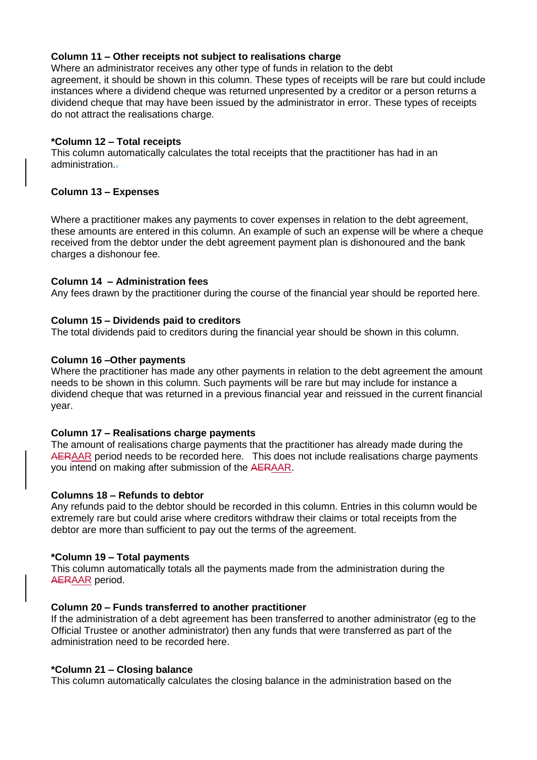# **Column 11 – Other receipts not subject to realisations charge**

Where an administrator receives any other type of funds in relation to the debt agreement, it should be shown in this column. These types of receipts will be rare but could include instances where a dividend cheque was returned unpresented by a creditor or a person returns a dividend cheque that may have been issued by the administrator in error. These types of receipts do not attract the realisations charge.

# **\*Column 12 – Total receipts**

This column automatically calculates the total receipts that the practitioner has had in an administration..

# **Column 13 – Expenses**

Where a practitioner makes any payments to cover expenses in relation to the debt agreement, these amounts are entered in this column. An example of such an expense will be where a cheque received from the debtor under the debt agreement payment plan is dishonoured and the bank charges a dishonour fee.

# **Column 14 – Administration fees**

Any fees drawn by the practitioner during the course of the financial year should be reported here.

# **Column 15 – Dividends paid to creditors**

The total dividends paid to creditors during the financial year should be shown in this column.

# **Column 16 –Other payments**

Where the practitioner has made any other payments in relation to the debt agreement the amount needs to be shown in this column. Such payments will be rare but may include for instance a dividend cheque that was returned in a previous financial year and reissued in the current financial year.

# **Column 17 – Realisations charge payments**

The amount of realisations charge payments that the practitioner has already made during the AERAAR period needs to be recorded here. This does not include realisations charge payments you intend on making after submission of the AERAAR.

# **Columns 18 – Refunds to debtor**

Any refunds paid to the debtor should be recorded in this column. Entries in this column would be extremely rare but could arise where creditors withdraw their claims or total receipts from the debtor are more than sufficient to pay out the terms of the agreement.

# **\*Column 19 – Total payments**

This column automatically totals all the payments made from the administration during the AERAAR period.

# **Column 20 – Funds transferred to another practitioner**

If the administration of a debt agreement has been transferred to another administrator (eg to the Official Trustee or another administrator) then any funds that were transferred as part of the administration need to be recorded here.

# **\*Column 21 – Closing balance**

This column automatically calculates the closing balance in the administration based on the